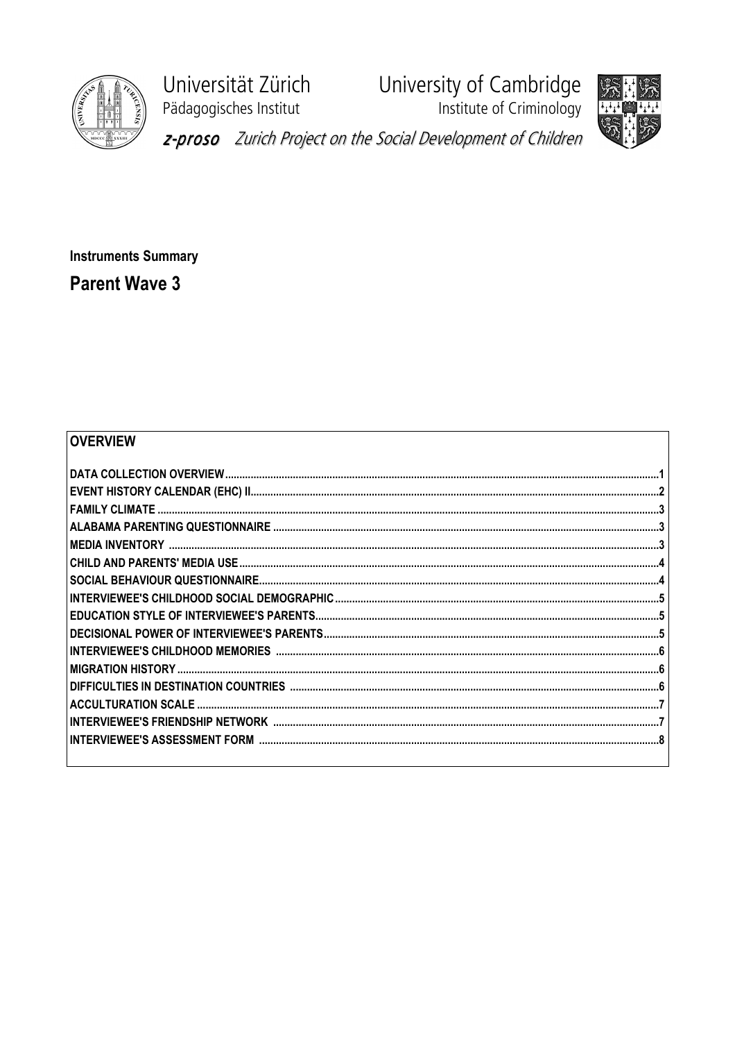

Universität Zürich Pädagogisches Institut

University of Cambridge<br>Institute of Criminology





z-proso Zurich Project on the Social Development of Children

**Instruments Summary Parent Wave 3** 

## **OVERVIEW**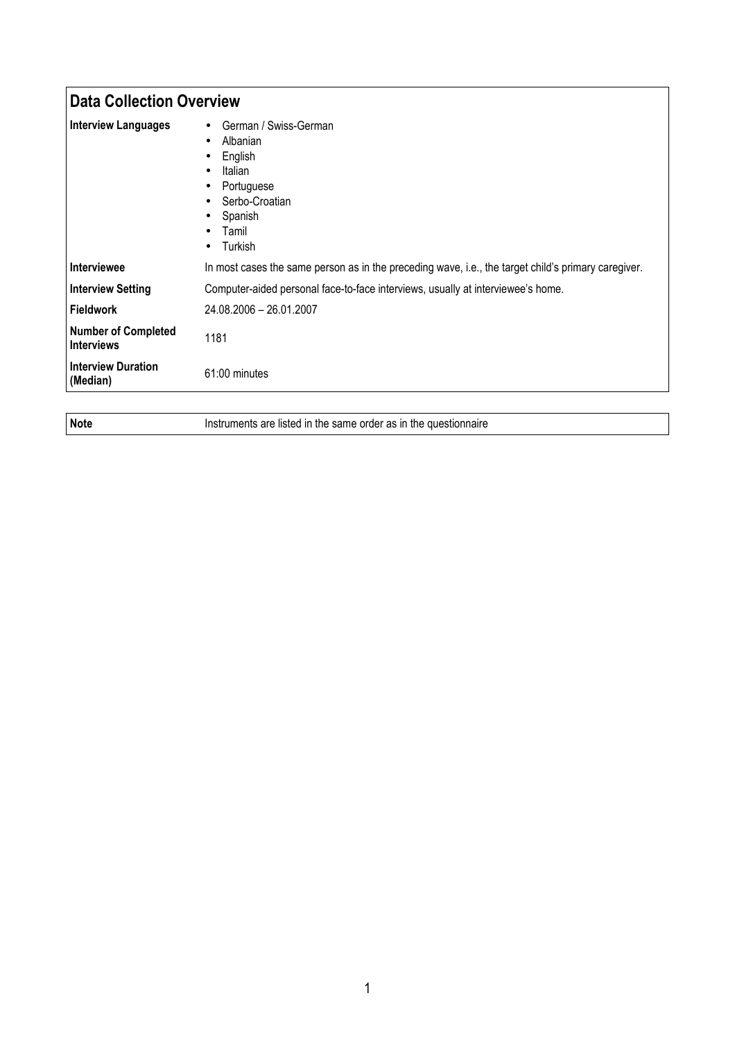| <b>Data Collection Overview</b>                 |                                                                                                                                                                                                                     |
|-------------------------------------------------|---------------------------------------------------------------------------------------------------------------------------------------------------------------------------------------------------------------------|
| <b>Interview Languages</b>                      | German / Swiss-German<br>$\bullet$<br>Albanian<br>$\bullet$<br>English<br>٠<br>Italian<br>$\bullet$<br>Portuguese<br>٠<br>Serbo-Croatian<br>$\bullet$<br>Spanish<br>٠<br>Tamil<br>$\bullet$<br>Turkish<br>$\bullet$ |
| <b>Interviewee</b>                              | In most cases the same person as in the preceding wave, i.e., the target child's primary caregiver.                                                                                                                 |
| <b>Interview Setting</b>                        | Computer-aided personal face-to-face interviews, usually at interviewee's home.                                                                                                                                     |
| Fieldwork                                       | 24.08.2006 - 26.01.2007                                                                                                                                                                                             |
| <b>Number of Completed</b><br><b>Interviews</b> | 1181                                                                                                                                                                                                                |
| <b>Interview Duration</b><br>(Median)           | 61:00 minutes                                                                                                                                                                                                       |

Note **Instruments are listed in the same order as in the questionnaire**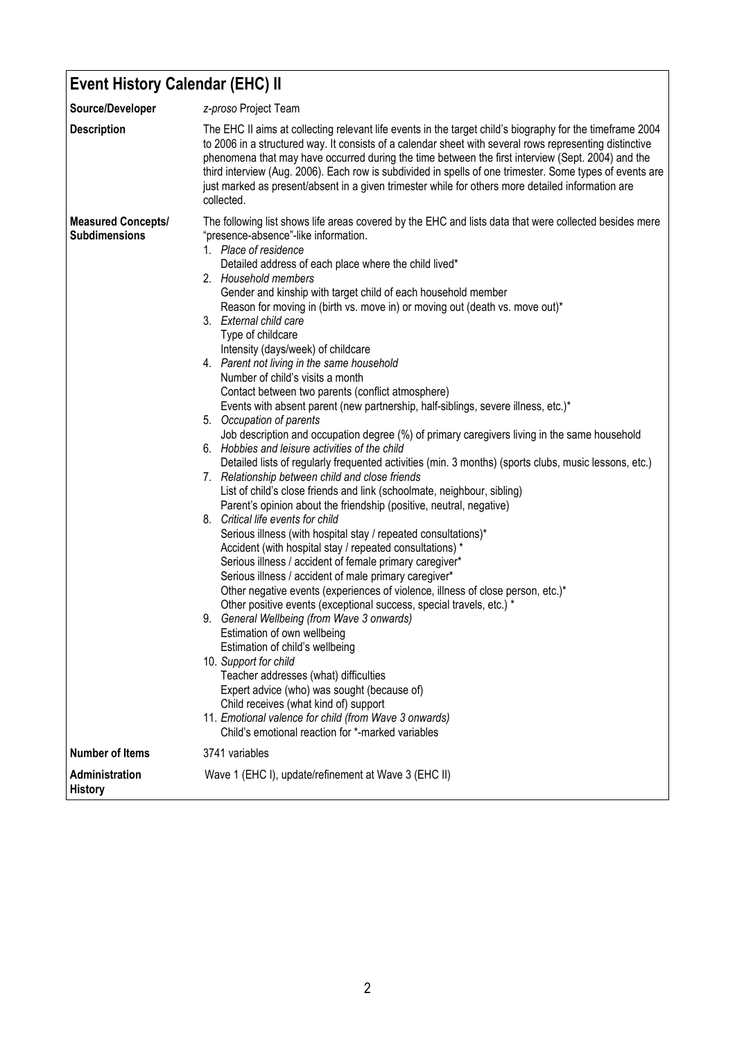| <b>Event History Calendar (EHC) II</b>            |                                                                                                                                                                                                                                                                                                                                                                                                                                                                                                                                                                                                                                                                                                                                                                                                                                                                                                                                                                                                                                                                                                                                                                                                                                                                                                                                                                                                                                                                                                                                                                                                                                                                                                                                                                                                                                                                                                                                                                                                             |  |
|---------------------------------------------------|-------------------------------------------------------------------------------------------------------------------------------------------------------------------------------------------------------------------------------------------------------------------------------------------------------------------------------------------------------------------------------------------------------------------------------------------------------------------------------------------------------------------------------------------------------------------------------------------------------------------------------------------------------------------------------------------------------------------------------------------------------------------------------------------------------------------------------------------------------------------------------------------------------------------------------------------------------------------------------------------------------------------------------------------------------------------------------------------------------------------------------------------------------------------------------------------------------------------------------------------------------------------------------------------------------------------------------------------------------------------------------------------------------------------------------------------------------------------------------------------------------------------------------------------------------------------------------------------------------------------------------------------------------------------------------------------------------------------------------------------------------------------------------------------------------------------------------------------------------------------------------------------------------------------------------------------------------------------------------------------------------------|--|
| Source/Developer                                  | z-proso Project Team                                                                                                                                                                                                                                                                                                                                                                                                                                                                                                                                                                                                                                                                                                                                                                                                                                                                                                                                                                                                                                                                                                                                                                                                                                                                                                                                                                                                                                                                                                                                                                                                                                                                                                                                                                                                                                                                                                                                                                                        |  |
| <b>Description</b>                                | The EHC II aims at collecting relevant life events in the target child's biography for the timeframe 2004<br>to 2006 in a structured way. It consists of a calendar sheet with several rows representing distinctive<br>phenomena that may have occurred during the time between the first interview (Sept. 2004) and the<br>third interview (Aug. 2006). Each row is subdivided in spells of one trimester. Some types of events are<br>just marked as present/absent in a given trimester while for others more detailed information are<br>collected.                                                                                                                                                                                                                                                                                                                                                                                                                                                                                                                                                                                                                                                                                                                                                                                                                                                                                                                                                                                                                                                                                                                                                                                                                                                                                                                                                                                                                                                    |  |
| <b>Measured Concepts/</b><br><b>Subdimensions</b> | The following list shows life areas covered by the EHC and lists data that were collected besides mere<br>"presence-absence"-like information.<br>1. Place of residence<br>Detailed address of each place where the child lived*<br>2. Household members<br>Gender and kinship with target child of each household member<br>Reason for moving in (birth vs. move in) or moving out (death vs. move out)*<br>3. External child care<br>Type of childcare<br>Intensity (days/week) of childcare<br>4. Parent not living in the same household<br>Number of child's visits a month<br>Contact between two parents (conflict atmosphere)<br>Events with absent parent (new partnership, half-siblings, severe illness, etc.)*<br>5. Occupation of parents<br>Job description and occupation degree (%) of primary caregivers living in the same household<br>6. Hobbies and leisure activities of the child<br>Detailed lists of regularly frequented activities (min. 3 months) (sports clubs, music lessons, etc.)<br>7. Relationship between child and close friends<br>List of child's close friends and link (schoolmate, neighbour, sibling)<br>Parent's opinion about the friendship (positive, neutral, negative)<br>8. Critical life events for child<br>Serious illness (with hospital stay / repeated consultations)*<br>Accident (with hospital stay / repeated consultations) *<br>Serious illness / accident of female primary caregiver*<br>Serious illness / accident of male primary caregiver*<br>Other negative events (experiences of violence, illness of close person, etc.)*<br>Other positive events (exceptional success, special travels, etc.) *<br>9. General Wellbeing (from Wave 3 onwards)<br>Estimation of own wellbeing<br>Estimation of child's wellbeing<br>10. Support for child<br>Teacher addresses (what) difficulties<br>Expert advice (who) was sought (because of)<br>Child receives (what kind of) support<br>11. Emotional valence for child (from Wave 3 onwards) |  |
|                                                   | Child's emotional reaction for *-marked variables                                                                                                                                                                                                                                                                                                                                                                                                                                                                                                                                                                                                                                                                                                                                                                                                                                                                                                                                                                                                                                                                                                                                                                                                                                                                                                                                                                                                                                                                                                                                                                                                                                                                                                                                                                                                                                                                                                                                                           |  |
| <b>Number of Items</b>                            | 3741 variables                                                                                                                                                                                                                                                                                                                                                                                                                                                                                                                                                                                                                                                                                                                                                                                                                                                                                                                                                                                                                                                                                                                                                                                                                                                                                                                                                                                                                                                                                                                                                                                                                                                                                                                                                                                                                                                                                                                                                                                              |  |
| Administration<br><b>History</b>                  | Wave 1 (EHC I), update/refinement at Wave 3 (EHC II)                                                                                                                                                                                                                                                                                                                                                                                                                                                                                                                                                                                                                                                                                                                                                                                                                                                                                                                                                                                                                                                                                                                                                                                                                                                                                                                                                                                                                                                                                                                                                                                                                                                                                                                                                                                                                                                                                                                                                        |  |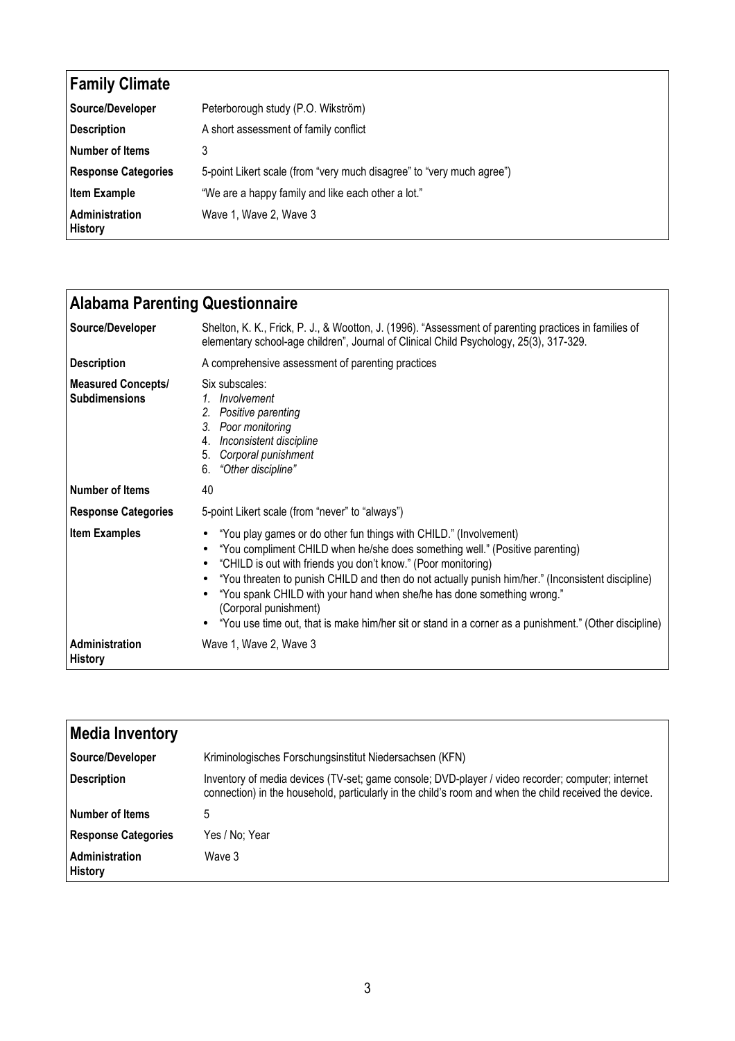| <b>Family Climate</b>            |                                                                       |
|----------------------------------|-----------------------------------------------------------------------|
| Source/Developer                 | Peterborough study (P.O. Wikström)                                    |
| <b>Description</b>               | A short assessment of family conflict                                 |
| Number of Items                  | 3                                                                     |
| <b>Response Categories</b>       | 5-point Likert scale (from "very much disagree" to "very much agree") |
| <b>Item Example</b>              | "We are a happy family and like each other a lot."                    |
| Administration<br><b>History</b> | Wave 1, Wave 2, Wave 3                                                |

| <b>Alabama Parenting Questionnaire</b>            |                                                                                                                                                                                                                                                                                                                                                                                                                                                                                                                                     |
|---------------------------------------------------|-------------------------------------------------------------------------------------------------------------------------------------------------------------------------------------------------------------------------------------------------------------------------------------------------------------------------------------------------------------------------------------------------------------------------------------------------------------------------------------------------------------------------------------|
| Source/Developer                                  | Shelton, K. K., Frick, P. J., & Wootton, J. (1996). "Assessment of parenting practices in families of<br>elementary school-age children", Journal of Clinical Child Psychology, 25(3), 317-329.                                                                                                                                                                                                                                                                                                                                     |
| <b>Description</b>                                | A comprehensive assessment of parenting practices                                                                                                                                                                                                                                                                                                                                                                                                                                                                                   |
| <b>Measured Concepts/</b><br><b>Subdimensions</b> | Six subscales:<br>1. Involvement<br>2. Positive parenting<br>3. Poor monitoring<br>4. Inconsistent discipline<br>5. Corporal punishment<br>6. "Other discipline"                                                                                                                                                                                                                                                                                                                                                                    |
| <b>Number of Items</b>                            | 40                                                                                                                                                                                                                                                                                                                                                                                                                                                                                                                                  |
| <b>Response Categories</b>                        | 5-point Likert scale (from "never" to "always")                                                                                                                                                                                                                                                                                                                                                                                                                                                                                     |
| <b>Item Examples</b>                              | "You play games or do other fun things with CHILD." (Involvement)<br>"You compliment CHILD when he/she does something well." (Positive parenting)<br>"CHILD is out with friends you don't know." (Poor monitoring)<br>"You threaten to punish CHILD and then do not actually punish him/her." (Inconsistent discipline)<br>"You spank CHILD with your hand when she/he has done something wrong."<br>(Corporal punishment)<br>"You use time out, that is make him/her sit or stand in a corner as a punishment." (Other discipline) |
| Administration<br><b>History</b>                  | Wave 1, Wave 2, Wave 3                                                                                                                                                                                                                                                                                                                                                                                                                                                                                                              |

| <b>Media Inventory</b>           |                                                                                                                                                                                                             |
|----------------------------------|-------------------------------------------------------------------------------------------------------------------------------------------------------------------------------------------------------------|
| Source/Developer                 | Kriminologisches Forschungsinstitut Niedersachsen (KFN)                                                                                                                                                     |
| <b>Description</b>               | Inventory of media devices (TV-set; game console; DVD-player / video recorder; computer; internet<br>connection) in the household, particularly in the child's room and when the child received the device. |
| Number of Items                  | 5                                                                                                                                                                                                           |
| <b>Response Categories</b>       | Yes / No; Year                                                                                                                                                                                              |
| Administration<br><b>History</b> | Wave 3                                                                                                                                                                                                      |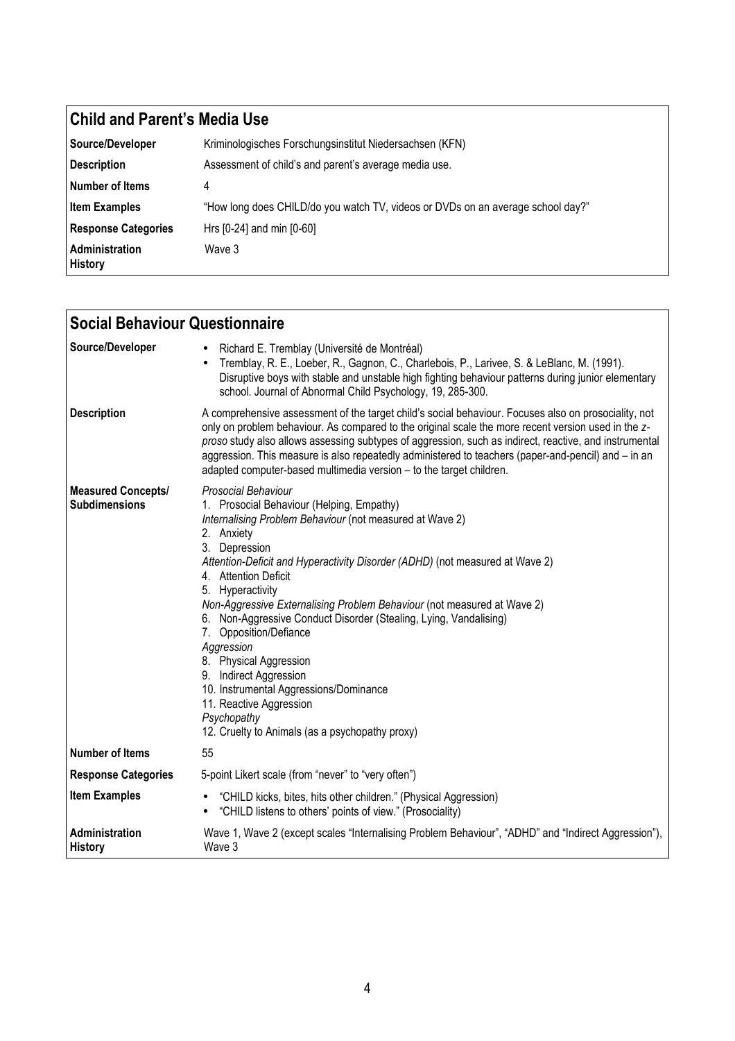## Child and Parent's Media Use

| Source/Developer                        | Kriminologisches Forschungsinstitut Niedersachsen (KFN)                         |
|-----------------------------------------|---------------------------------------------------------------------------------|
| Description                             | Assessment of child's and parent's average media use.                           |
| Number of Items                         | 4                                                                               |
| <b>Item Examples</b>                    | "How long does CHILD/do you watch TV, videos or DVDs on an average school day?" |
| <b>Response Categories</b>              | Hrs [0-24] and min [0-60]                                                       |
| <b>Administration</b><br><b>History</b> | Wave 3                                                                          |

| <b>Social Behaviour Questionnaire</b>             |                                                                                                                                                                                                                                                                                                                                                                                                                                                                                                                                                                                                                                                                            |
|---------------------------------------------------|----------------------------------------------------------------------------------------------------------------------------------------------------------------------------------------------------------------------------------------------------------------------------------------------------------------------------------------------------------------------------------------------------------------------------------------------------------------------------------------------------------------------------------------------------------------------------------------------------------------------------------------------------------------------------|
| Source/Developer                                  | Richard E. Tremblay (Université de Montréal)<br>Tremblay, R. E., Loeber, R., Gagnon, C., Charlebois, P., Larivee, S. & LeBlanc, M. (1991).<br>Disruptive boys with stable and unstable high fighting behaviour patterns during junior elementary<br>school. Journal of Abnormal Child Psychology, 19, 285-300.                                                                                                                                                                                                                                                                                                                                                             |
| <b>Description</b>                                | A comprehensive assessment of the target child's social behaviour. Focuses also on prosociality, not<br>only on problem behaviour. As compared to the original scale the more recent version used in the z-<br>proso study also allows assessing subtypes of aggression, such as indirect, reactive, and instrumental<br>aggression. This measure is also repeatedly administered to teachers (paper-and-pencil) and - in an<br>adapted computer-based multimedia version - to the target children.                                                                                                                                                                        |
| <b>Measured Concepts/</b><br><b>Subdimensions</b> | Prosocial Behaviour<br>1. Prosocial Behaviour (Helping, Empathy)<br>Internalising Problem Behaviour (not measured at Wave 2)<br>2. Anxiety<br>3. Depression<br>Attention-Deficit and Hyperactivity Disorder (ADHD) (not measured at Wave 2)<br>4. Attention Deficit<br>5. Hyperactivity<br>Non-Aggressive Externalising Problem Behaviour (not measured at Wave 2)<br>6. Non-Aggressive Conduct Disorder (Stealing, Lying, Vandalising)<br>7. Opposition/Defiance<br>Aggression<br>8. Physical Aggression<br>9. Indirect Aggression<br>10. Instrumental Aggressions/Dominance<br>11. Reactive Aggression<br>Psychopathy<br>12. Cruelty to Animals (as a psychopathy proxy) |
| Number of Items                                   | 55                                                                                                                                                                                                                                                                                                                                                                                                                                                                                                                                                                                                                                                                         |
| <b>Response Categories</b>                        | 5-point Likert scale (from "never" to "very often")                                                                                                                                                                                                                                                                                                                                                                                                                                                                                                                                                                                                                        |
| <b>Item Examples</b>                              | "CHILD kicks, bites, hits other children." (Physical Aggression)<br>"CHILD listens to others' points of view." (Prosociality)<br>$\bullet$                                                                                                                                                                                                                                                                                                                                                                                                                                                                                                                                 |
| Administration<br><b>History</b>                  | Wave 1, Wave 2 (except scales "Internalising Problem Behaviour", "ADHD" and "Indirect Aggression"),<br>Wave 3                                                                                                                                                                                                                                                                                                                                                                                                                                                                                                                                                              |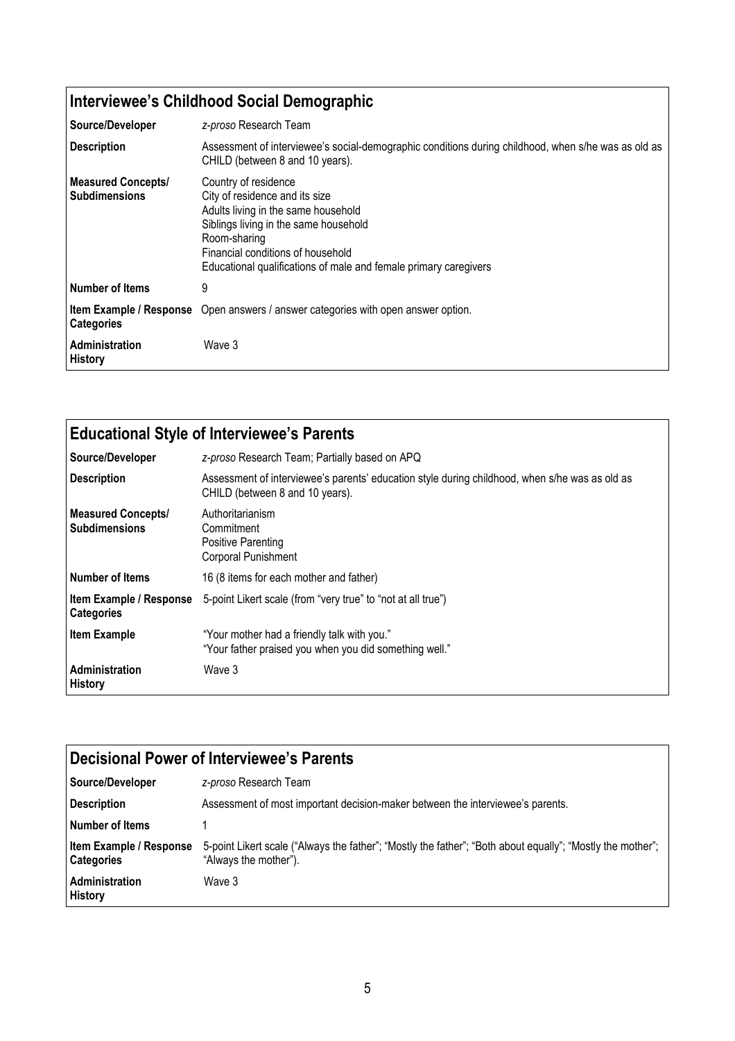## Interviewee's Childhood Social Demographic

| Source/Developer                                  | z-proso Research Team                                                                                                                                                                                                                                           |
|---------------------------------------------------|-----------------------------------------------------------------------------------------------------------------------------------------------------------------------------------------------------------------------------------------------------------------|
| <b>Description</b>                                | Assessment of interviewee's social-demographic conditions during childhood, when s/he was as old as<br>CHILD (between 8 and 10 years).                                                                                                                          |
| <b>Measured Concepts/</b><br><b>Subdimensions</b> | Country of residence<br>City of residence and its size<br>Adults living in the same household<br>Siblings living in the same household<br>Room-sharing<br>Financial conditions of household<br>Educational qualifications of male and female primary caregivers |
| Number of Items                                   | 9                                                                                                                                                                                                                                                               |
| <b>Categories</b>                                 | Item Example / Response Open answers / answer categories with open answer option.                                                                                                                                                                               |
| <b>Administration</b><br><b>History</b>           | Wave 3                                                                                                                                                                                                                                                          |

| <b>Educational Style of Interviewee's Parents</b> |                                                                                                                                   |
|---------------------------------------------------|-----------------------------------------------------------------------------------------------------------------------------------|
| Source/Developer                                  | z-proso Research Team; Partially based on APQ                                                                                     |
| <b>Description</b>                                | Assessment of interviewee's parents' education style during childhood, when s/he was as old as<br>CHILD (between 8 and 10 years). |
| <b>Measured Concepts/</b><br><b>Subdimensions</b> | Authoritarianism<br>Commitment<br><b>Positive Parenting</b><br><b>Corporal Punishment</b>                                         |
| Number of Items                                   | 16 (8 items for each mother and father)                                                                                           |
| Item Example / Response<br><b>Categories</b>      | 5-point Likert scale (from "very true" to "not at all true")                                                                      |
| <b>Item Example</b>                               | "Your mother had a friendly talk with you."<br>"Your father praised you when you did something well."                             |
| Administration<br>History                         | Wave 3                                                                                                                            |

| Decisional Power of Interviewee's Parents    |                                                                                                                                     |
|----------------------------------------------|-------------------------------------------------------------------------------------------------------------------------------------|
| Source/Developer                             | z-proso Research Team                                                                                                               |
| <b>Description</b>                           | Assessment of most important decision-maker between the interviewee's parents.                                                      |
| l Number of Items                            |                                                                                                                                     |
| Item Example / Response<br><b>Categories</b> | 5-point Likert scale ("Always the father"; "Mostly the father"; "Both about equally"; "Mostly the mother";<br>"Always the mother"). |
| Administration<br><b>History</b>             | Wave 3                                                                                                                              |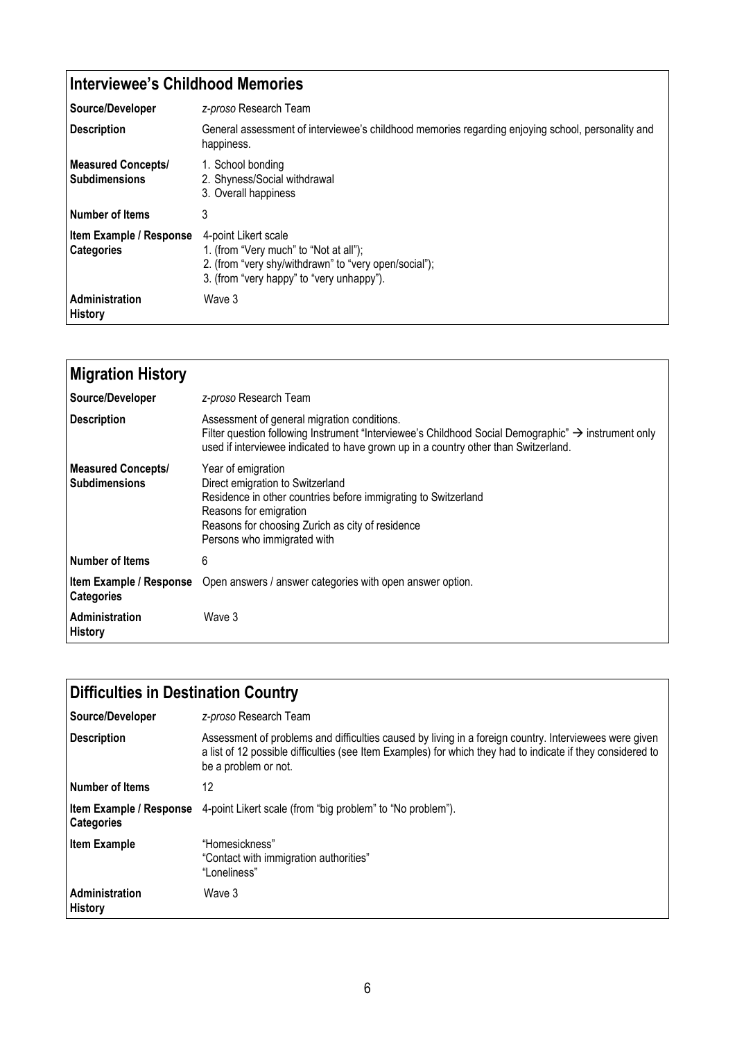| Interviewee's Childhood Memories                    |                                                                                                                                                                      |
|-----------------------------------------------------|----------------------------------------------------------------------------------------------------------------------------------------------------------------------|
| Source/Developer                                    | z-proso Research Team                                                                                                                                                |
| <b>Description</b>                                  | General assessment of interviewee's childhood memories regarding enjoying school, personality and<br>happiness.                                                      |
| <b>Measured Concepts/</b><br><b>Subdimensions</b>   | 1. School bonding<br>2. Shyness/Social withdrawal<br>3. Overall happiness                                                                                            |
| <b>Number of Items</b>                              | 3                                                                                                                                                                    |
| <b>Item Example / Response</b><br><b>Categories</b> | 4-point Likert scale<br>1. (from "Very much" to "Not at all");<br>2. (from "very shy/withdrawn" to "very open/social");<br>3. (from "very happy" to "very unhappy"). |
| Administration<br><b>History</b>                    | Wave 3                                                                                                                                                               |

| <b>Migration History</b>                          |                                                                                                                                                                                                                                                       |
|---------------------------------------------------|-------------------------------------------------------------------------------------------------------------------------------------------------------------------------------------------------------------------------------------------------------|
| Source/Developer                                  | z-proso Research Team                                                                                                                                                                                                                                 |
| <b>Description</b>                                | Assessment of general migration conditions.<br>Filter question following Instrument "Interviewee's Childhood Social Demographic" $\rightarrow$ instrument only<br>used if interviewee indicated to have grown up in a country other than Switzerland. |
| <b>Measured Concepts/</b><br><b>Subdimensions</b> | Year of emigration<br>Direct emigration to Switzerland<br>Residence in other countries before immigrating to Switzerland<br>Reasons for emigration<br>Reasons for choosing Zurich as city of residence<br>Persons who immigrated with                 |
| <b>Number of Items</b>                            | 6                                                                                                                                                                                                                                                     |
| Item Example / Response<br><b>Categories</b>      | Open answers / answer categories with open answer option.                                                                                                                                                                                             |
| <b>Administration</b><br><b>History</b>           | Wave 3                                                                                                                                                                                                                                                |

| <b>Difficulties in Destination Country</b> |                                                                                                                                                                                                                                               |  |
|--------------------------------------------|-----------------------------------------------------------------------------------------------------------------------------------------------------------------------------------------------------------------------------------------------|--|
| Source/Developer                           | z-proso Research Team                                                                                                                                                                                                                         |  |
| <b>Description</b>                         | Assessment of problems and difficulties caused by living in a foreign country. Interviewees were given<br>a list of 12 possible difficulties (see Item Examples) for which they had to indicate if they considered to<br>be a problem or not. |  |
| Number of Items                            | 12                                                                                                                                                                                                                                            |  |
| <b>Categories</b>                          | <b>Item Example / Response</b> 4-point Likert scale (from "big problem" to "No problem").                                                                                                                                                     |  |
| <b>Item Example</b>                        | "Homesickness"<br>"Contact with immigration authorities"<br>"Loneliness"                                                                                                                                                                      |  |
| Administration<br><b>History</b>           | Wave 3                                                                                                                                                                                                                                        |  |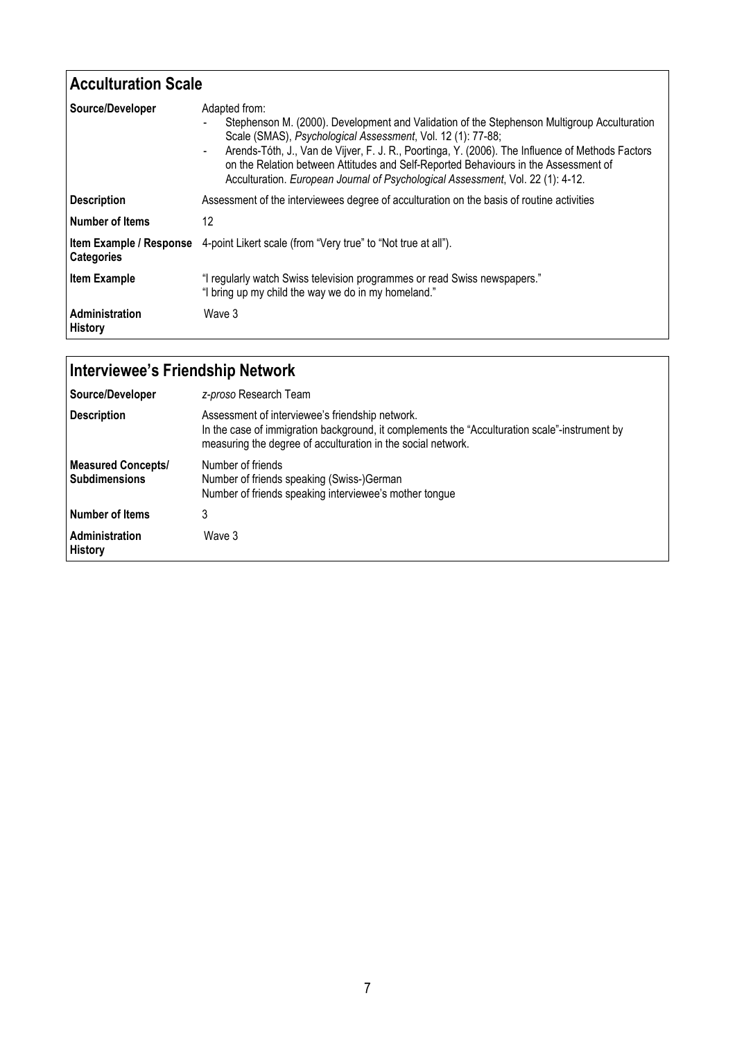| <b>Acculturation Scale</b>       |                                                                                                                                                                                                                                                                                                                                                                                                                                                                             |  |
|----------------------------------|-----------------------------------------------------------------------------------------------------------------------------------------------------------------------------------------------------------------------------------------------------------------------------------------------------------------------------------------------------------------------------------------------------------------------------------------------------------------------------|--|
| Source/Developer                 | Adapted from:<br>Stephenson M. (2000). Development and Validation of the Stephenson Multigroup Acculturation<br>Scale (SMAS), Psychological Assessment, Vol. 12 (1): 77-88;<br>Arends-Tóth, J., Van de Vijver, F. J. R., Poortinga, Y. (2006). The Influence of Methods Factors<br>$\blacksquare$<br>on the Relation between Attitudes and Self-Reported Behaviours in the Assessment of<br>Acculturation. European Journal of Psychological Assessment, Vol. 22 (1): 4-12. |  |
| <b>Description</b>               | Assessment of the interviewees degree of acculturation on the basis of routine activities                                                                                                                                                                                                                                                                                                                                                                                   |  |
| l Number of Items                | 12                                                                                                                                                                                                                                                                                                                                                                                                                                                                          |  |
| <b>Categories</b>                | <b>Item Example / Response</b> 4-point Likert scale (from "Very true" to "Not true at all").                                                                                                                                                                                                                                                                                                                                                                                |  |
| <b>Item Example</b>              | "I regularly watch Swiss television programmes or read Swiss newspapers."<br>"I bring up my child the way we do in my homeland."                                                                                                                                                                                                                                                                                                                                            |  |
| Administration<br><b>History</b> | Wave 3                                                                                                                                                                                                                                                                                                                                                                                                                                                                      |  |

| Interviewee's Friendship Network                  |                                                                                                                                                                                                                  |  |
|---------------------------------------------------|------------------------------------------------------------------------------------------------------------------------------------------------------------------------------------------------------------------|--|
| Source/Developer                                  | z-proso Research Team                                                                                                                                                                                            |  |
| <b>Description</b>                                | Assessment of interviewee's friendship network.<br>In the case of immigration background, it complements the "Acculturation scale"-instrument by<br>measuring the degree of acculturation in the social network. |  |
| <b>Measured Concepts/</b><br><b>Subdimensions</b> | Number of friends<br>Number of friends speaking (Swiss-)German<br>Number of friends speaking interviewee's mother tongue                                                                                         |  |
| <b>Number of Items</b>                            | 3                                                                                                                                                                                                                |  |
| Administration<br><b>History</b>                  | Wave 3                                                                                                                                                                                                           |  |